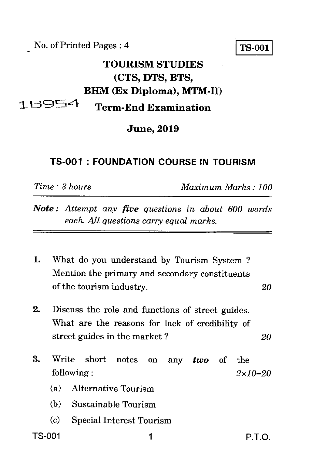No. of Printed Pages : 4

## **TS-001**

# **TOURISM STUDIES (CTS, DTS, BTS, BHM** (Ex Diploma), MTM-II) 18954

**Term-End Examination** 

**June, 2019** 

#### **TS-001 : FOUNDATION COURSE IN TOURISM**

*Time : 3 hours Maximum Marks : 100* 

- *Note : Attempt any five questions in about 600 words each. All questions carry equal marks.*
- 1. What do you understand by Tourism System ? Mention the primary and secondary constituents of the tourism industry. *20*
- 2. Discuss the role and functions of street guides. What are the reasons for lack of credibility of street guides in the market ? *20*
- 3. Write short notes on any *two* of the following : *2x10=20* 
	- (a) Alternative Tourism
	- (b) Sustainable Tourism
	- (c) Special Interest Tourism

TS-001 1 P.T.O.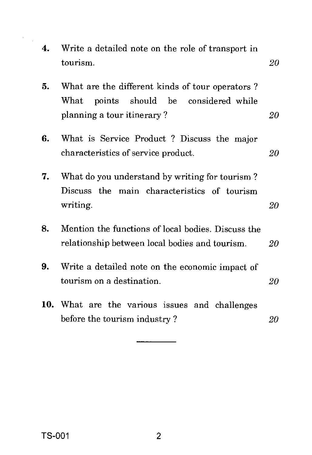| $\boldsymbol{4}$ . | Write a detailed note on the role of transport in<br>tourism.                                                                 | 20 |
|--------------------|-------------------------------------------------------------------------------------------------------------------------------|----|
| 5.                 | What are the different kinds of tour operators?<br>points should be<br>What<br>considered while<br>planning a tour itinerary? | 20 |
| 6.                 | What is Service Product? Discuss the major<br>characteristics of service product.                                             | 20 |
| 7.                 | What do you understand by writing for tourism?<br>Discuss the main characteristics of tourism<br>writing.                     | 20 |
| 8.                 | Mention the functions of local bodies. Discuss the<br>relationship between local bodies and tourism.                          | 20 |
| 9.                 | Write a detailed note on the economic impact of<br>tourism on a destination.                                                  | 20 |
|                    | 10. What are the various issues and challenges<br>before the tourism industry?                                                | 20 |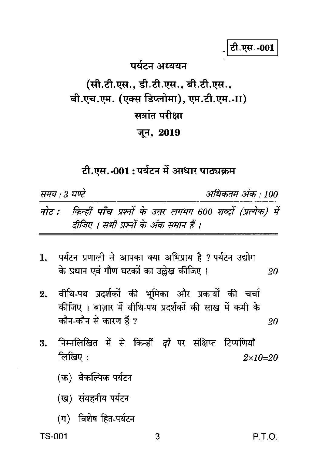# टी.एस.-001

#### पर्यटन अध्ययन

# (सी.टी.एस., डी.टी.एस., बी.टी.एस., बी.एच.एम. (एक्स डिप्लोमा), एम.टी.एम.-II) सत्रांत परीक्षा जून, 2019

### टी.एस.-001 : पर्यटन में आधार पाठ्यक्रम

समय : 3 घण्टे अधिकतम अंक • 100

नोट : किन्हीं पाँच प्रश्नों के उत्तर लगभग 600 शब्दों (प्रत्येक) में दीजिए । सभी प्रश्नों के अंक समान हैं ।

- 1. पर्यटन प्रणाली से आपका क्या अभिप्राय है ? पर्यटन उद्योग के प्रधान एवं गौण घटकों का उल्लेख कीजिए । 20
- वीथि-पथ प्रदर्शकों की भूमिका और प्रकार्यों की चर्चा  $2.$ कीजिए । बाज़ार में वीथि-पथ प्रदर्शकों की साख में कमी के कौन-कौन से कारण हैं ? 20
- निम्नलिखित में से किन्हीं *दो* पर संक्षिप्त टिप्पणियाँ 3. लिखिए:  $2 \times 10 = 20$ 
	- (क) वैकल्पिक पर्यटन
	- (ख) संवहनीय पर्यटन
	- (ग) विशेष हित-पर्यटन

**TS-001**